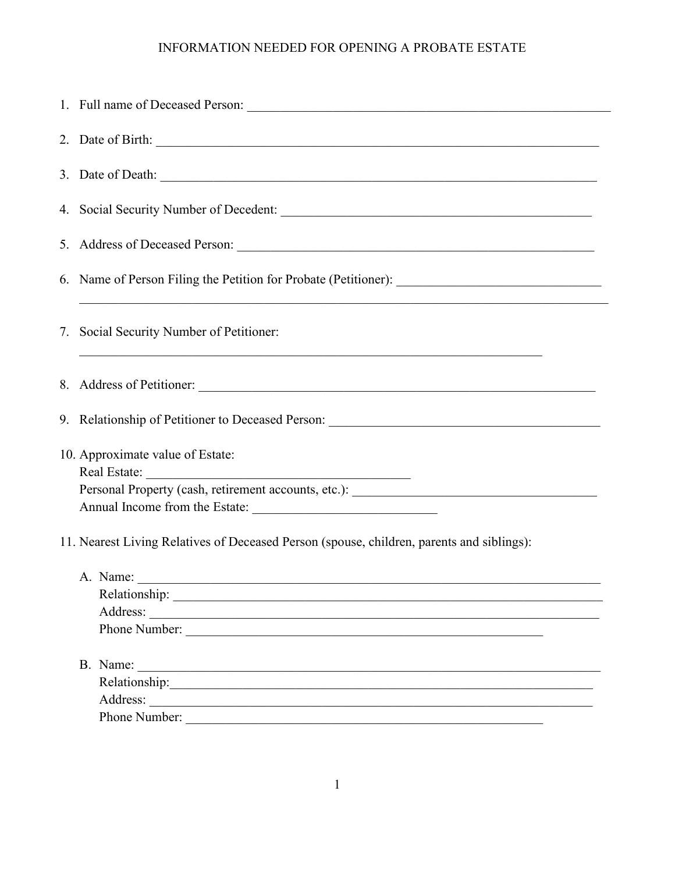## INFORMATION NEEDED FOR OPENING A PROBATE ESTATE

|                                                                                           |  | 7. Social Security Number of Petitioner:                                                                       |
|-------------------------------------------------------------------------------------------|--|----------------------------------------------------------------------------------------------------------------|
|                                                                                           |  | 8. Address of Petitioner: 2000 and 2000 and 2000 and 2000 and 2000 and 2000 and 2000 and 2000 and 2000 and 200 |
|                                                                                           |  | 9. Relationship of Petitioner to Deceased Person: ______________________________                               |
|                                                                                           |  | 10. Approximate value of Estate:                                                                               |
|                                                                                           |  |                                                                                                                |
|                                                                                           |  | Personal Property (cash, retirement accounts, etc.): ____________________________                              |
|                                                                                           |  |                                                                                                                |
| 11. Nearest Living Relatives of Deceased Person (spouse, children, parents and siblings): |  |                                                                                                                |
|                                                                                           |  |                                                                                                                |
|                                                                                           |  |                                                                                                                |
|                                                                                           |  | Address:                                                                                                       |
|                                                                                           |  | Phone Number:                                                                                                  |
|                                                                                           |  | B. Name:<br><u> 1980 - Andrea Andrew Maria (h. 1980).</u>                                                      |
|                                                                                           |  |                                                                                                                |
|                                                                                           |  |                                                                                                                |
|                                                                                           |  | Phone Number:                                                                                                  |